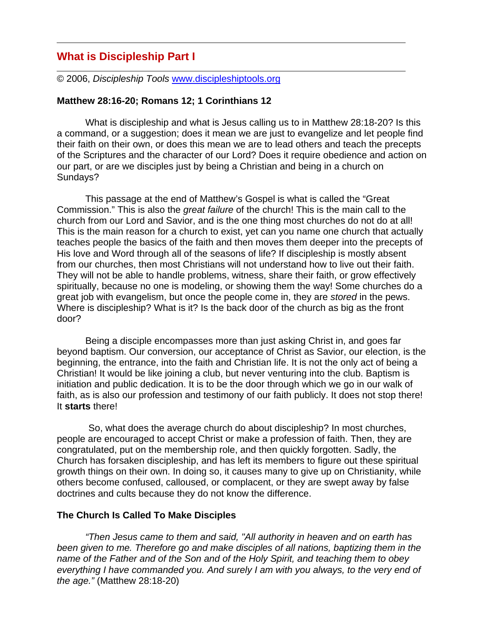# **What is Discipleship Part I**

© 2006, *Discipleship Tools* www.discipleshiptools.org

#### **Matthew 28:16-20; Romans 12; 1 Corinthians 12**

What is discipleship and what is Jesus calling us to in Matthew 28:18-20? Is this a command, or a suggestion; does it mean we are just to evangelize and let people find their faith on their own, or does this mean we are to lead others and teach the precepts of the Scriptures and the character of our Lord? Does it require obedience and action on our part, or are we disciples just by being a Christian and being in a church on Sundays?

This passage at the end of Matthew's Gospel is what is called the "Great Commission." This is also the *great failure* of the church! This is the main call to the church from our Lord and Savior, and is the one thing most churches do not do at all! This is the main reason for a church to exist, yet can you name one church that actually teaches people the basics of the faith and then moves them deeper into the precepts of His love and Word through all of the seasons of life? If discipleship is mostly absent from our churches, then most Christians will not understand how to live out their faith. They will not be able to handle problems, witness, share their faith, or grow effectively spiritually, because no one is modeling, or showing them the way! Some churches do a great job with evangelism, but once the people come in, they are *stored* in the pews. Where is discipleship? What is it? Is the back door of the church as big as the front door?

Being a disciple encompasses more than just asking Christ in, and goes far beyond baptism. Our conversion, our acceptance of Christ as Savior, our election, is the beginning, the entrance, into the faith and Christian life. It is not the only act of being a Christian! It would be like joining a club, but never venturing into the club. Baptism is initiation and public dedication. It is to be the door through which we go in our walk of faith, as is also our profession and testimony of our faith publicly. It does not stop there! It **starts** there!

 So, what does the average church do about discipleship? In most churches, people are encouraged to accept Christ or make a profession of faith. Then, they are congratulated, put on the membership role, and then quickly forgotten. Sadly, the Church has forsaken discipleship, and has left its members to figure out these spiritual growth things on their own. In doing so, it causes many to give up on Christianity, while others become confused, calloused, or complacent, or they are swept away by false doctrines and cults because they do not know the difference.

#### **The Church Is Called To Make Disciples**

*"Then Jesus came to them and said, "All authority in heaven and on earth has been given to me. Therefore go and make disciples of all nations, baptizing them in the name of the Father and of the Son and of the Holy Spirit, and teaching them to obey everything I have commanded you. And surely I am with you always, to the very end of the age."* (Matthew 28:18-20)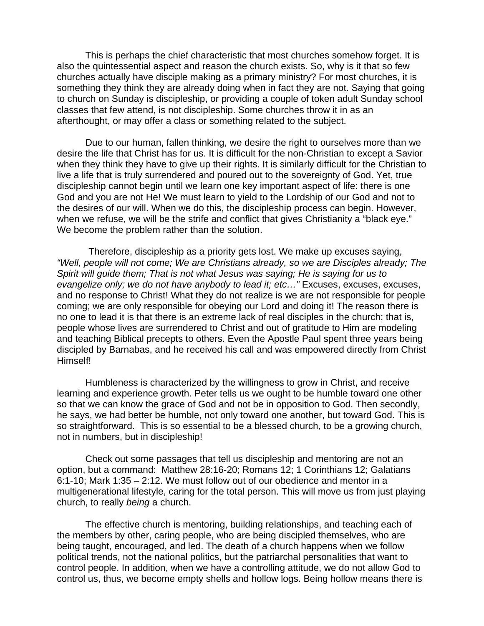This is perhaps the chief characteristic that most churches somehow forget. It is also the quintessential aspect and reason the church exists. So, why is it that so few churches actually have disciple making as a primary ministry? For most churches, it is something they think they are already doing when in fact they are not. Saying that going to church on Sunday is discipleship, or providing a couple of token adult Sunday school classes that few attend, is not discipleship. Some churches throw it in as an afterthought, or may offer a class or something related to the subject.

Due to our human, fallen thinking, we desire the right to ourselves more than we desire the life that Christ has for us. It is difficult for the non-Christian to except a Savior when they think they have to give up their rights. It is similarly difficult for the Christian to live a life that is truly surrendered and poured out to the sovereignty of God. Yet, true discipleship cannot begin until we learn one key important aspect of life: there is one God and you are not He! We must learn to yield to the Lordship of our God and not to the desires of our will. When we do this, the discipleship process can begin. However, when we refuse, we will be the strife and conflict that gives Christianity a "black eye." We become the problem rather than the solution.

 Therefore, discipleship as a priority gets lost. We make up excuses saying, *"Well, people will not come; We are Christians already, so we are Disciples already; The Spirit will guide them; That is not what Jesus was saying; He is saying for us to evangelize only; we do not have anybody to lead it; etc...*" Excuses, excuses, excuses, and no response to Christ! What they do not realize is we are not responsible for people coming; we are only responsible for obeying our Lord and doing it! The reason there is no one to lead it is that there is an extreme lack of real disciples in the church; that is, people whose lives are surrendered to Christ and out of gratitude to Him are modeling and teaching Biblical precepts to others. Even the Apostle Paul spent three years being discipled by Barnabas, and he received his call and was empowered directly from Christ Himself!

Humbleness is characterized by the willingness to grow in Christ, and receive learning and experience growth. Peter tells us we ought to be humble toward one other so that we can know the grace of God and not be in opposition to God. Then secondly, he says, we had better be humble, not only toward one another, but toward God. This is so straightforward. This is so essential to be a blessed church, to be a growing church, not in numbers, but in discipleship!

Check out some passages that tell us discipleship and mentoring are not an option, but a command: Matthew 28:16-20; Romans 12; 1 Corinthians 12; Galatians 6:1-10; Mark 1:35 – 2:12. We must follow out of our obedience and mentor in a multigenerational lifestyle, caring for the total person. This will move us from just playing church, to really *being* a church.

The effective church is mentoring, building relationships, and teaching each of the members by other, caring people, who are being discipled themselves, who are being taught, encouraged, and led. The death of a church happens when we follow political trends, not the national politics, but the patriarchal personalities that want to control people. In addition, when we have a controlling attitude, we do not allow God to control us, thus, we become empty shells and hollow logs. Being hollow means there is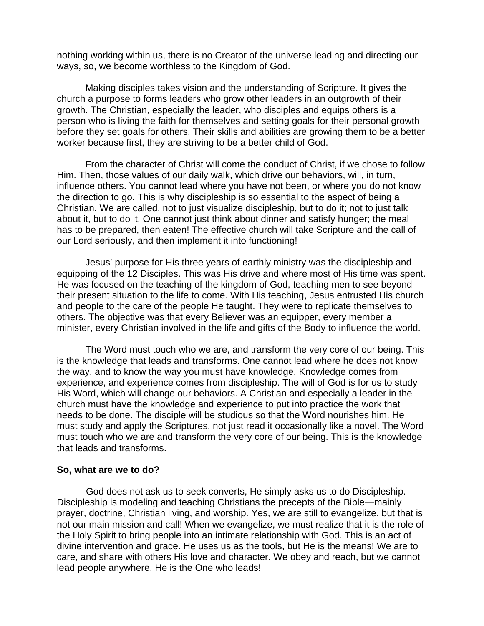nothing working within us, there is no Creator of the universe leading and directing our ways, so, we become worthless to the Kingdom of God.

Making disciples takes vision and the understanding of Scripture. It gives the church a purpose to forms leaders who grow other leaders in an outgrowth of their growth. The Christian, especially the leader, who disciples and equips others is a person who is living the faith for themselves and setting goals for their personal growth before they set goals for others. Their skills and abilities are growing them to be a better worker because first, they are striving to be a better child of God.

From the character of Christ will come the conduct of Christ, if we chose to follow Him. Then, those values of our daily walk, which drive our behaviors, will, in turn, influence others. You cannot lead where you have not been, or where you do not know the direction to go. This is why discipleship is so essential to the aspect of being a Christian. We are called, not to just visualize discipleship, but to do it; not to just talk about it, but to do it. One cannot just think about dinner and satisfy hunger; the meal has to be prepared, then eaten! The effective church will take Scripture and the call of our Lord seriously, and then implement it into functioning!

Jesus' purpose for His three years of earthly ministry was the discipleship and equipping of the 12 Disciples. This was His drive and where most of His time was spent. He was focused on the teaching of the kingdom of God, teaching men to see beyond their present situation to the life to come. With His teaching, Jesus entrusted His church and people to the care of the people He taught. They were to replicate themselves to others. The objective was that every Believer was an equipper, every member a minister, every Christian involved in the life and gifts of the Body to influence the world.

The Word must touch who we are, and transform the very core of our being. This is the knowledge that leads and transforms. One cannot lead where he does not know the way, and to know the way you must have knowledge. Knowledge comes from experience, and experience comes from discipleship. The will of God is for us to study His Word, which will change our behaviors. A Christian and especially a leader in the church must have the knowledge and experience to put into practice the work that needs to be done. The disciple will be studious so that the Word nourishes him. He must study and apply the Scriptures, not just read it occasionally like a novel. The Word must touch who we are and transform the very core of our being. This is the knowledge that leads and transforms.

#### **So, what are we to do?**

 God does not ask us to seek converts, He simply asks us to do Discipleship. Discipleship is modeling and teaching Christians the precepts of the Bible—mainly prayer, doctrine, Christian living, and worship. Yes, we are still to evangelize, but that is not our main mission and call! When we evangelize, we must realize that it is the role of the Holy Spirit to bring people into an intimate relationship with God. This is an act of divine intervention and grace. He uses us as the tools, but He is the means! We are to care, and share with others His love and character. We obey and reach, but we cannot lead people anywhere. He is the One who leads!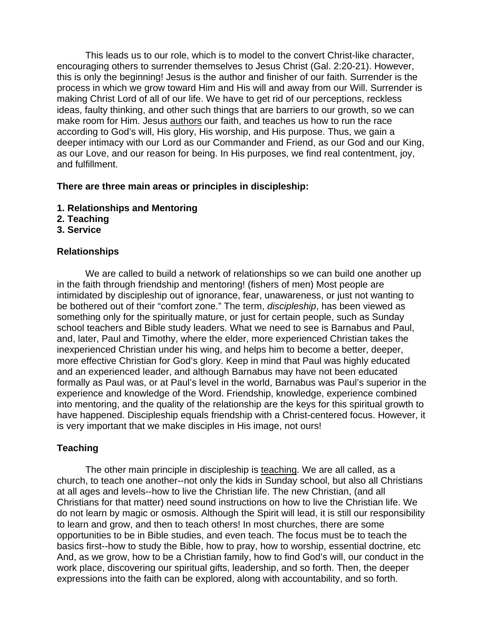This leads us to our role, which is to model to the convert Christ-like character, encouraging others to surrender themselves to Jesus Christ (Gal. 2:20-21). However, this is only the beginning! Jesus is the author and finisher of our faith. Surrender is the process in which we grow toward Him and His will and away from our Will. Surrender is making Christ Lord of all of our life. We have to get rid of our perceptions, reckless ideas, faulty thinking, and other such things that are barriers to our growth, so we can make room for Him. Jesus authors our faith, and teaches us how to run the race according to God's will, His glory, His worship, and His purpose. Thus, we gain a deeper intimacy with our Lord as our Commander and Friend, as our God and our King, as our Love, and our reason for being. In His purposes, we find real contentment, joy, and fulfillment.

## **There are three main areas or principles in discipleship:**

- **1. Relationships and Mentoring**
- **2. Teaching**
- **3. Service**

## **Relationships**

We are called to build a network of relationships so we can build one another up in the faith through friendship and mentoring! (fishers of men) Most people are intimidated by discipleship out of ignorance, fear, unawareness, or just not wanting to be bothered out of their "comfort zone." The term, *discipleship*, has been viewed as something only for the spiritually mature, or just for certain people, such as Sunday school teachers and Bible study leaders. What we need to see is Barnabus and Paul, and, later, Paul and Timothy, where the elder, more experienced Christian takes the inexperienced Christian under his wing, and helps him to become a better, deeper, more effective Christian for God's glory. Keep in mind that Paul was highly educated and an experienced leader, and although Barnabus may have not been educated formally as Paul was, or at Paul's level in the world, Barnabus was Paul's superior in the experience and knowledge of the Word. Friendship, knowledge, experience combined into mentoring, and the quality of the relationship are the keys for this spiritual growth to have happened. Discipleship equals friendship with a Christ-centered focus. However, it is very important that we make disciples in His image, not ours!

# **Teaching**

The other main principle in discipleship is teaching. We are all called, as a church, to teach one another--not only the kids in Sunday school, but also all Christians at all ages and levels--how to live the Christian life. The new Christian, (and all Christians for that matter) need sound instructions on how to live the Christian life. We do not learn by magic or osmosis. Although the Spirit will lead, it is still our responsibility to learn and grow, and then to teach others! In most churches, there are some opportunities to be in Bible studies, and even teach. The focus must be to teach the basics first--how to study the Bible, how to pray, how to worship, essential doctrine, etc And, as we grow, how to be a Christian family, how to find God's will, our conduct in the work place, discovering our spiritual gifts, leadership, and so forth. Then, the deeper expressions into the faith can be explored, along with accountability, and so forth.